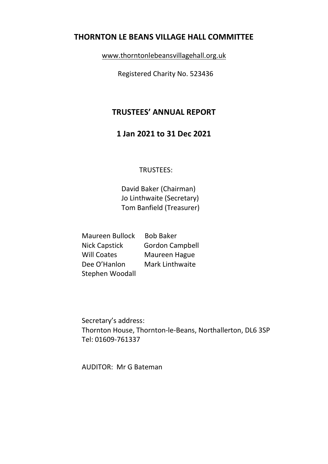## THORNTON LE BEANS VILLAGE HALL COMMITTEE

www.thorntonlebeansvillagehall.org.uk

Registered Charity No. 523436

# TRUSTEES' ANNUAL REPORT

# 1 Jan 2021 to 31 Dec 2021

## TRUSTEES:

David Baker (Chairman) Jo Linthwaite (Secretary) Tom Banfield (Treasurer)

| <b>Maureen Bullock</b> | <b>Bob Baker</b>       |
|------------------------|------------------------|
| <b>Nick Capstick</b>   | <b>Gordon Campbell</b> |
| <b>Will Coates</b>     | Maureen Hague          |
| Dee O'Hanlon           | <b>Mark Linthwaite</b> |
| Stephen Woodall        |                        |

Secretary's address: Thornton House, Thornton-le-Beans, Northallerton, DL6 3SP Tel: 01609-761337

AUDITOR: Mr G Bateman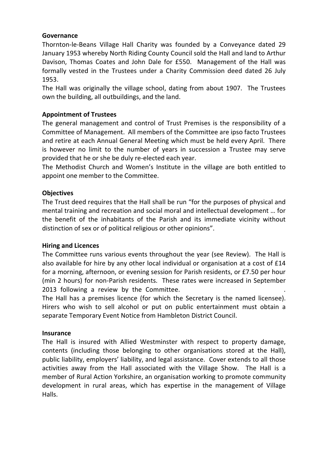#### Governance

Thornton-le-Beans Village Hall Charity was founded by a Conveyance dated 29 January 1953 whereby North Riding County Council sold the Hall and land to Arthur Davison, Thomas Coates and John Dale for £550. Management of the Hall was formally vested in the Trustees under a Charity Commission deed dated 26 July 1953.

The Hall was originally the village school, dating from about 1907. The Trustees own the building, all outbuildings, and the land.

## Appointment of Trustees

The general management and control of Trust Premises is the responsibility of a Committee of Management. All members of the Committee are ipso facto Trustees and retire at each Annual General Meeting which must be held every April. There is however no limit to the number of years in succession a Trustee may serve provided that he or she be duly re-elected each year.

The Methodist Church and Women's Institute in the village are both entitled to appoint one member to the Committee.

### **Objectives**

The Trust deed requires that the Hall shall be run "for the purposes of physical and mental training and recreation and social moral and intellectual development … for the benefit of the inhabitants of the Parish and its immediate vicinity without distinction of sex or of political religious or other opinions".

#### Hiring and Licences

The Committee runs various events throughout the year (see Review). The Hall is also available for hire by any other local individual or organisation at a cost of £14 for a morning, afternoon, or evening session for Parish residents, or £7.50 per hour (min 2 hours) for non-Parish residents. These rates were increased in September 2013 following a review by the Committee.

The Hall has a premises licence (for which the Secretary is the named licensee). Hirers who wish to sell alcohol or put on public entertainment must obtain a separate Temporary Event Notice from Hambleton District Council.

#### Insurance

The Hall is insured with Allied Westminster with respect to property damage, contents (including those belonging to other organisations stored at the Hall), public liability, employers' liability, and legal assistance. Cover extends to all those activities away from the Hall associated with the Village Show. The Hall is a member of Rural Action Yorkshire, an organisation working to promote community development in rural areas, which has expertise in the management of Village Halls.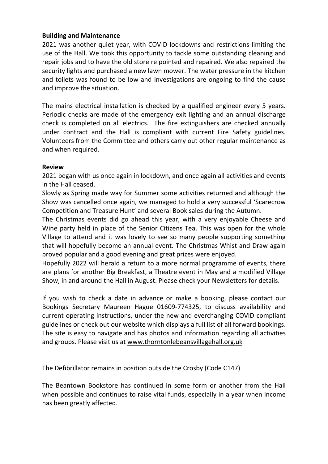### Building and Maintenance

2021 was another quiet year, with COVID lockdowns and restrictions limiting the use of the Hall. We took this opportunity to tackle some outstanding cleaning and repair jobs and to have the old store re pointed and repaired. We also repaired the security lights and purchased a new lawn mower. The water pressure in the kitchen and toilets was found to be low and investigations are ongoing to find the cause and improve the situation.

The mains electrical installation is checked by a qualified engineer every 5 years. Periodic checks are made of the emergency exit lighting and an annual discharge check is completed on all electrics. The fire extinguishers are checked annually under contract and the Hall is compliant with current Fire Safety guidelines. Volunteers from the Committee and others carry out other regular maintenance as and when required.

#### Review

2021 began with us once again in lockdown, and once again all activities and events in the Hall ceased.

Slowly as Spring made way for Summer some activities returned and although the Show was cancelled once again, we managed to hold a very successful 'Scarecrow Competition and Treasure Hunt' and several Book sales during the Autumn.

The Christmas events did go ahead this year, with a very enjoyable Cheese and Wine party held in place of the Senior Citizens Tea. This was open for the whole Village to attend and it was lovely to see so many people supporting something that will hopefully become an annual event. The Christmas Whist and Draw again proved popular and a good evening and great prizes were enjoyed.

Hopefully 2022 will herald a return to a more normal programme of events, there are plans for another Big Breakfast, a Theatre event in May and a modified Village Show, in and around the Hall in August. Please check your Newsletters for details.

If you wish to check a date in advance or make a booking, please contact our Bookings Secretary Maureen Hague 01609-774325, to discuss availability and current operating instructions, under the new and everchanging COVID compliant guidelines or check out our website which displays a full list of all forward bookings. The site is easy to navigate and has photos and information regarding all activities and groups. Please visit us at www.thorntonlebeansvillagehall.org.uk

The Defibrillator remains in position outside the Crosby (Code C147)

The Beantown Bookstore has continued in some form or another from the Hall when possible and continues to raise vital funds, especially in a year when income has been greatly affected.